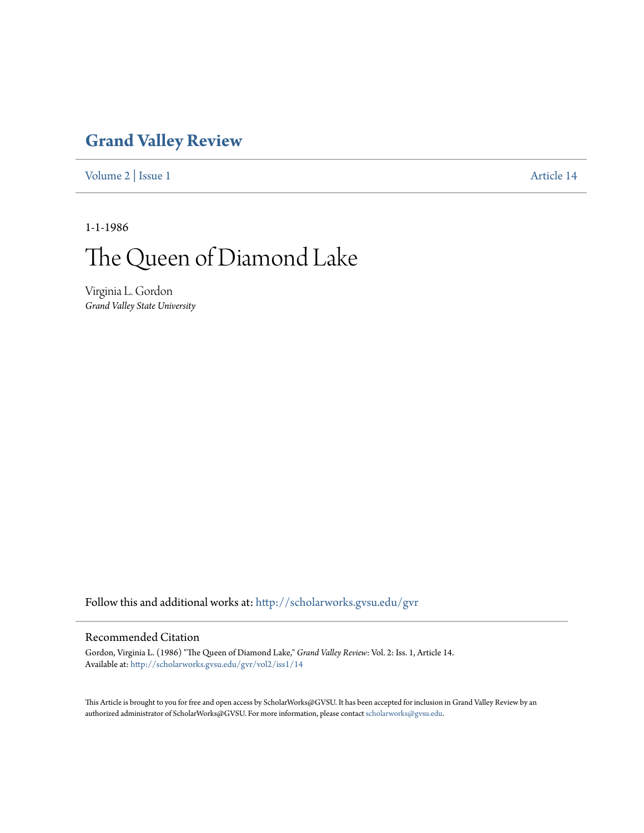## **[Grand Valley Review](http://scholarworks.gvsu.edu/gvr?utm_source=scholarworks.gvsu.edu%2Fgvr%2Fvol2%2Fiss1%2F14&utm_medium=PDF&utm_campaign=PDFCoverPages)**

[Volume 2](http://scholarworks.gvsu.edu/gvr/vol2?utm_source=scholarworks.gvsu.edu%2Fgvr%2Fvol2%2Fiss1%2F14&utm_medium=PDF&utm_campaign=PDFCoverPages) | [Issue 1](http://scholarworks.gvsu.edu/gvr/vol2/iss1?utm_source=scholarworks.gvsu.edu%2Fgvr%2Fvol2%2Fiss1%2F14&utm_medium=PDF&utm_campaign=PDFCoverPages) [Article 14](http://scholarworks.gvsu.edu/gvr/vol2/iss1/14?utm_source=scholarworks.gvsu.edu%2Fgvr%2Fvol2%2Fiss1%2F14&utm_medium=PDF&utm_campaign=PDFCoverPages)

1-1-1986

## The Queen of Diamond Lake

Virginia L. Gordon *Grand Valley State University*

Follow this and additional works at: [http://scholarworks.gvsu.edu/gvr](http://scholarworks.gvsu.edu/gvr?utm_source=scholarworks.gvsu.edu%2Fgvr%2Fvol2%2Fiss1%2F14&utm_medium=PDF&utm_campaign=PDFCoverPages)

## Recommended Citation

Gordon, Virginia L. (1986) "The Queen of Diamond Lake," *Grand Valley Review*: Vol. 2: Iss. 1, Article 14. Available at: [http://scholarworks.gvsu.edu/gvr/vol2/iss1/14](http://scholarworks.gvsu.edu/gvr/vol2/iss1/14?utm_source=scholarworks.gvsu.edu%2Fgvr%2Fvol2%2Fiss1%2F14&utm_medium=PDF&utm_campaign=PDFCoverPages)

This Article is brought to you for free and open access by ScholarWorks@GVSU. It has been accepted for inclusion in Grand Valley Review by an authorized administrator of ScholarWorks@GVSU. For more information, please contact [scholarworks@gvsu.edu.](mailto:scholarworks@gvsu.edu)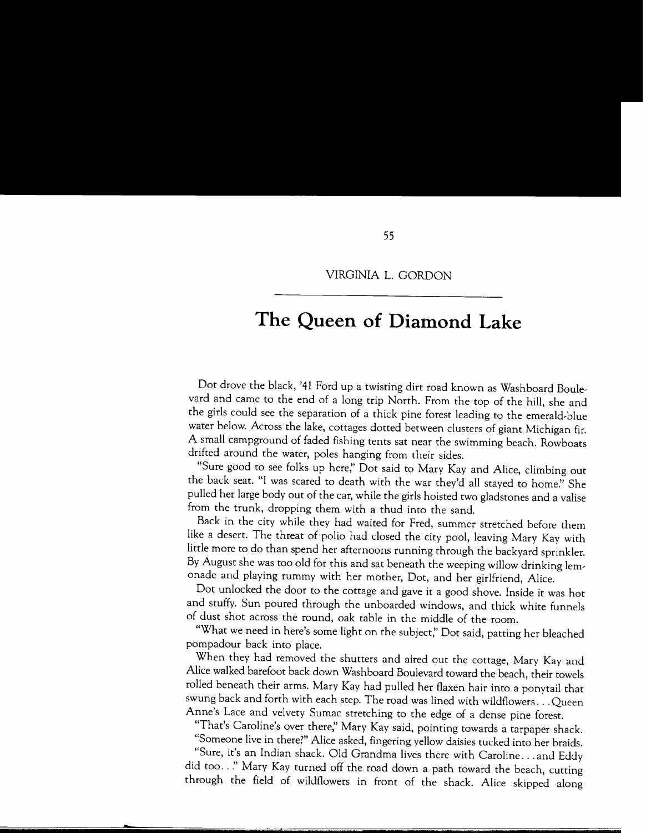## **The Queen of Diamond Lake**

Dot drove the black, '41 Ford up a twisting dirt road known as Washboard Boulevard and came to the end of a long trip North. From the top of the hill, she and the girls could see the separation of a thick pine forest leading to the emerald-blue water below. Across the lake, cottages dotted between clusters of giant Michigan fir. A small campground of faded fishing tents sat near the swimming beach. Rowboats drifted around the water, poles hanging from their sides.

"Sure good to see folks up here;' Dot said to Mary Kay and Alice, climbing out the back seat. "I was scared to death with the war they'd all stayed to home:' She pulled her large body out of the car, while the girls hoisted two gladstones and a valise from the trunk, dropping them with a thud into the sand.

Back in the city while they had waited for Fred, summer stretched before them like a desert. The threat of polio had closed the city pool, leaving Mary Kay with little more to do than spend her afternoons running through the backyard sprinkler. By August she was too old for this and sat beneath the weeping willow drinking lemonade and playing rummy with her mother, Dot, and her girlfriend, Alice.

Dot unlocked the door to the cottage and gave it a good shove. Inside it was hot and stuffy. Sun poured through the unboarded windows, and thick white funnels of dust shot across the round, oak table in the middle of the room.

"What we need in here's some light on the subject;' Dot said, patting her bleached pompadour back into place.

When they had removed the shutters and aired out the cottage, Mary Kay and Alice walked barefoot back down Washboard Boulevard toward the beach, their towels rolled beneath their arms. Mary Kay had pulled her flaxen hair into a ponytail that swung back and forth with each step. The road was lined with wildflowers ... Queen Anne's Lace and velvety Sumac stretching to the edge of a dense pine forest.

"That's Caroline's over there;' Mary Kay said, pointing towards a tarpaper shack.

"Someone live in there?" Alice asked, fingering yellow daisies tucked into her braids. "Sure, it's an Indian shack. Old Grandma lives there with Caroline ... and Eddy did too .. *:•* Mary Kay turned off the road down a path toward the beach, cutting through the field of wildflowers in front of the shack. Alice skipped along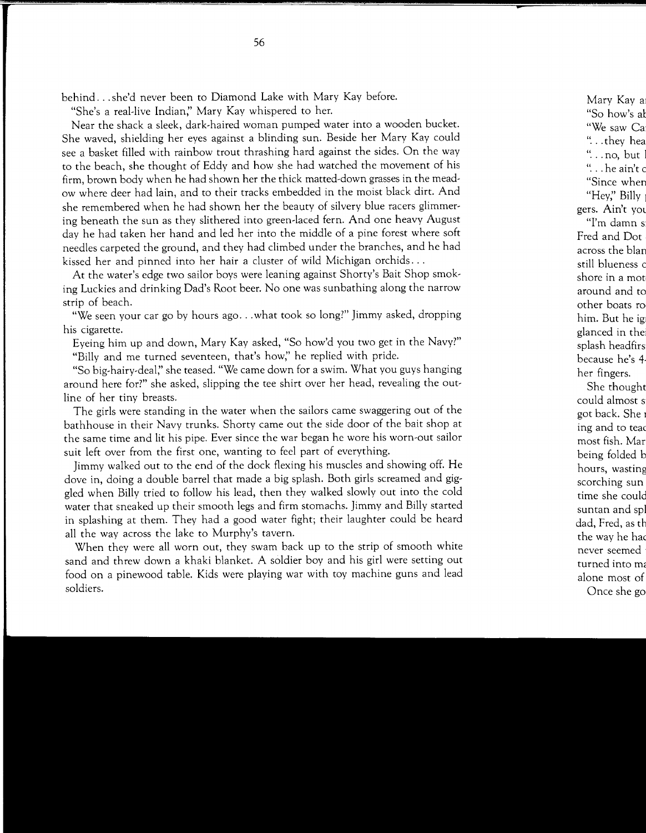behind ... she'd never been to Diamond Lake with Mary Kay before.

"She's a real-live Indian;' Mary Kay whispered to her.

Near the shack a sleek, dark-haired woman pumped water into a wooden bucket. She waved, shielding her eyes against a blinding sun. Beside her Mary Kay could see a basket filled with rainbow trout thrashing hard against the sides. On the way to the beach, she thought of Eddy and how she had watched the movement of his firm, brown body when he had shown her the thick matted-down grasses in the meadow where deer had lain, and to their tracks embedded in the moist black dirt. And she remembered when he had shown her the beauty of silvery blue racers glimmering beneath the sun as they slithered into green-laced fern. And one heavy August day he had taken her hand and led her into the middle of a pine forest where soft needles carpeted the ground, and they had climbed under the branches, and he had kissed her and pinned into her hair a cluster of wild Michigan orchids ...

At the water's edge two sailor boys were leaning against Shorty's Bait Shop smoking Luckies and drinking Dad's Root beer. No one was sunbathing along the narrow strip of beach.

"We seen your car go by hours ago ... what took so long?" Jimmy asked, dropping his cigarette.

Eyeing him up and down, Mary Kay asked, "So how'd you two get in the Navy?" "Billy and me turned seventeen, that's how;' he replied with pride.

"So big-hairy-deal;' she teased. "We came down for a swim. What you guys hanging around here for?" she asked, slipping the tee shirt over her head, revealing the outline of her tiny breasts.

The girls were standing in the water when the sailors came swaggering out of the bathhouse in their Navy trunks. Shorty came out the side door of the bait shop at the same time and lit his pipe. Ever since the war began he wore his worn-out sailor suit left over from the first one, wanting to feel part of everything.

Jimmy walked out to the end of the dock flexing his muscles and showing off. He dove in, doing a double barrel that made a big splash. Both girls screamed and giggled when Billy tried to follow his lead, then they walked slowly out into the cold water that sneaked up their smooth legs and firm stomachs. Jimmy and Billy started in splashing at them. They had a good water fight; their laughter could be heard all the way across the lake to Murphy's tavern.

When they were all worn out, they swam back up to the strip of smooth white sand and threw down a khaki blanket. A soldier boy and his girl were setting out food on a pinewood table. Kids were playing war with toy machine guns and lead soldiers.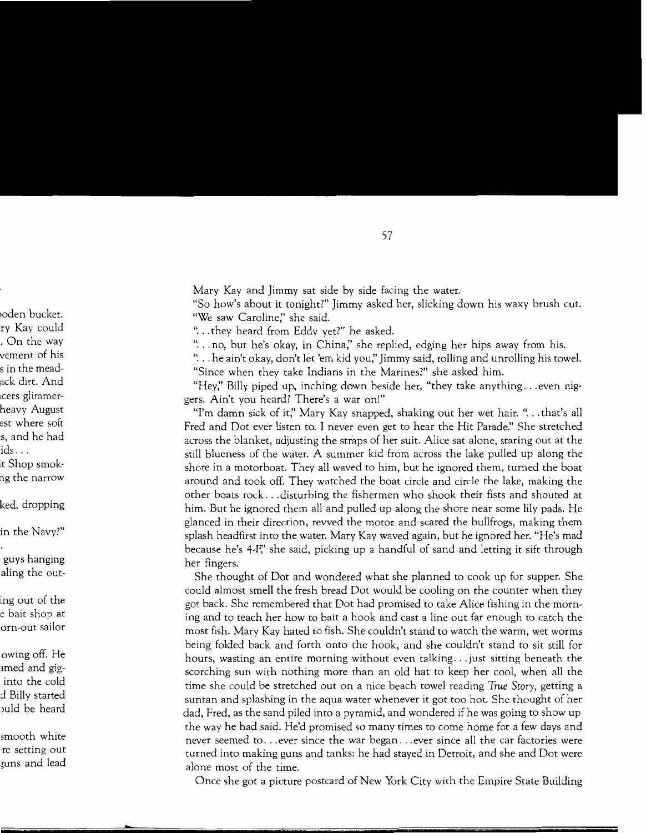Mary Kay and Jimmy sat side by side facing the water.

"So how's about it tonight?" Jimmy asked her, slicking down his waxy brush cut. "We saw Caroline;' she said.

"... they heard from Eddy yet?" he asked.

"... no, but he's okay, in China," she replied, edging her hips away from his.

" ... he ain't okay, don't let 'em kid you;' Jimmy said, rolling and unrolling his towel.

"Since when they take Indians in the Marines?" she asked him.

"Hey," Billy piped up, inching down beside her, "they take anything... even niggers. Ain't you heard? There's a war on!"

"I'm damn sick of it;' Mary Kay snapped, shaking out her wet hair. " ... that's all Fred and Dot ever listen to. I never even get to hear the Hit Parade:' She stretched across the blanket, adjusting the straps of her suit. Alice sat alone, staring out at the still blueness of the water. A summer kid from across the lake pulled up along the shore in a motorboat. They all waved to him, but he ignored them, turned the boat around and took off. They watched the boat circle and circle the lake, making the other boats rock ... disturbing the fishermen who shook their fists and shouted at him. But he ignored them all and pulled up along the shore near some lily pads. He glanced in their direction, revved the motor and scared the bullfrogs, making them splash headfirst into the water. Mary Kay waved again, but he ignored her. "He's mad because he's 4-F;' she said, picking up a handful of sand and letting it sift through her fingers.

She thought of Dot and wondered what she planned to cook up for supper. She could almost smell the fresh bread Dot would be cooling on the counter when they got back. She remembered that Dot had promised to take Alice fishing in the morning and to teach her how to bait a hook and cast a line out far enough to catch the most fish. Mary Kay hated to fish. She couldn't stand to watch the warm, wet worms being folded back and forth onto the hook, and she couldn't stand to sit still for hours, wasting an entire morning without even talking ... just sitting beneath the scorching sun with nothing more than an old hat to keep her cool, when all the time she could be stretched out on a nice beach towel reading *True Story,* getting a suntan and splashing in the aqua water whenever it got too hot. She thought of her dad, Fred, as the sand piled into a pyramid, and wondered if he was going to show up the way he had said. He'd promised so many times to come home for a few days and never seemed to ... ever since the war began ... ever since all the car factories were turned into making guns and tanks: he had stayed in Detroit, and she and Dot were alone most of the time.

Once she got a picture postcard of New York City with the Empire State Building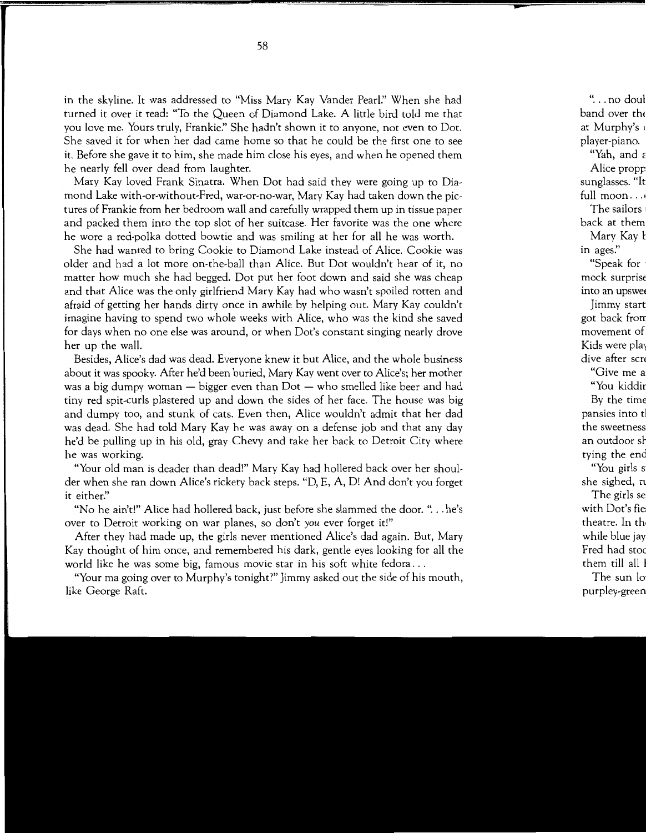in the skyline. It was addressed to "Miss Mary Kay Vander Pearl:' When she had turned it over it read: "To the Queen of Diamond Lake. A little bird told me that you love me. Yours truly, Frankie?' She hadn't shown it to anyone, not even to Dot. She saved it for when her dad came home so that he could be the first one to see it. Before she gave it to him, she made him close his eyes, and when he opened them he nearly fell over dead from laughter.

Mary Kay loved Frank Sinatra. When Dot had said they were going up to Diamond Lake with-or-without-Fred, war-or-no-war, Mary Kay had taken down the pictures of Frankie from her bedroom wall and carefully wrapped them up in tissue paper and packed them into the top slot of her suitcase. Her favorite was the one where he wore a red-polka dotted bowtie and was smiling at her for all he was worth.

She had wanted to bring Cookie to Diamond Lake instead of Alice. Cookie was older and had a lot more on-the-ball than Alice. But Dot wouldn't hear of it, no matter how much she had begged. Dot put her foot down and said she was cheap and that Alice was the only girlfriend Mary Kay had who wasn't spoiled rotten and afraid of getting her hands dirty once in awhile by helping out. Mary Kay couldn't imagine having to spend two whole weeks with Alice, who was the kind she saved for days when no one else was around, or when Dot's constant singing nearly drove her up the wall.

Besides, Alice's dad was dead. Everyone knew it but Alice, and the whole business about it was spooky. After he'd been buried, Mary Kay went over to Alice's; her mother was a big dumpy woman  $-$  bigger even than  $Dot -$  who smelled like beer and had tiny red spit-curls plastered up and down the sides of her face. The house was big and dumpy too, and stunk of cats. Even then, Alice wouldn't admit that her dad was dead. She had told Mary Kay he was away on a defense job and that any day he'd be pulling up in his old, gray Chevy and take her back to Detroit City where he was working.

"Your old man is deader than dead!" Mary Kay had hollered back over her shoulder when she ran down Alice's rickety back steps. "D, E, A, D! And don't you forget it either:'

"No he ain't!" Alice had hollered back, just before she slammed the door. " ... he's over to Detroit working on war planes, so don't *you* ever forget it!"

After they had made up, the girls never mentioned Alice's dad again. But, Mary Kay thought of him once, and remembered his dark, gentle eyes looking for all the world like he was some big, famous movie star in his soft white fedora ...

"Your rna going over to Murphy's tonight?" Jimmy asked out the side of his mouth, like George Raft.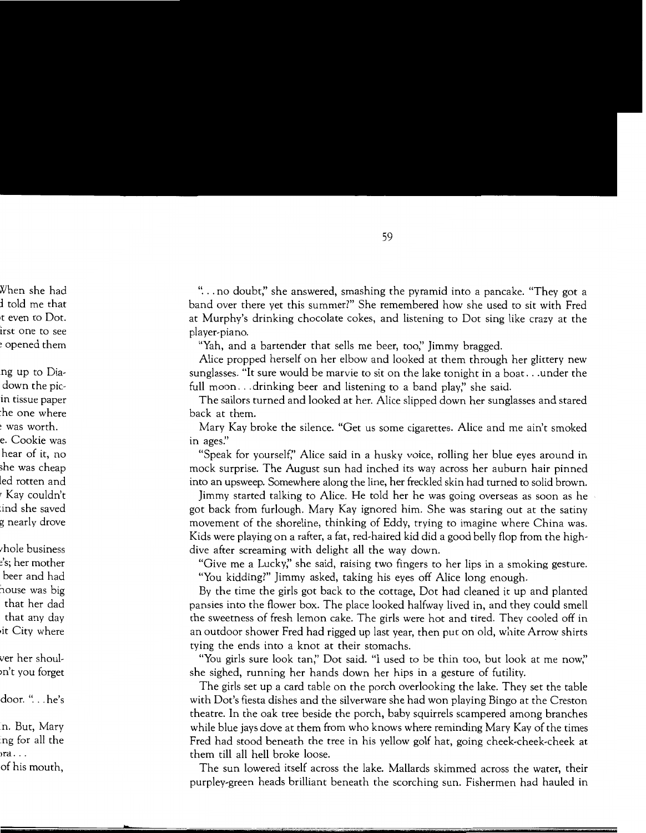" ... no doubt;' she answered, smashing the pyramid into a pancake. "They got a band over there yet this summer?" She remembered how she used to sit with Fred at Murphy's drinking chocolate cokes, and listening to Dot sing like crazy at the player-piano.

"Yah, and a bartender that sells me beer, too;' Jimmy bragged.

Alice propped herself on her elbow and looked at them through her glittery new sunglasses. "It sure would be marvie to sit on the lake tonight in a boat ... under the full moon...drinking beer and listening to a band play," she said.

The sailors turned and looked at her. Alice slipped down her sunglasses and stared back at them.

Mary Kay broke the silence. "Get us some cigarettes. Alice and me ain't smoked in *ages:'* 

"Speak for yourself;' Alice said in a husky voice, rolling her blue eyes around in mock surprise. The August sun had inched its way across her auburn hair pinned into an upsweep. Somewhere along the line, her freckled skin had turned to solid brown.

Jimmy started talking to Alice. He told her he was going overseas as soon as he got back from furlough. Mary Kay ignored him. She was staring out at the satiny movement of the shoreline, thinking of Eddy, trying to imagine where China was. Kids were playing on a rafter, a fat, red-haired kid did a good belly flop from the highdive after screaming with delight all the way down.

"Give me a Lucky;' she said, raising two fingers to her lips in a smoking gesture. "You kidding?" Jimmy asked, taking his eyes off Alice long enough.

By the time the girls got back to the cottage, Dot had cleaned it up and planted pansies into the flower box. The place looked halfway lived in, and they could smell the sweetness of fresh lemon cake. The girls were hot and tired. They cooled off in an outdoor shower Fred had rigged up last year, then put on old, white Arrow shirts tying the ends into a knot at their stomachs.

"You girls sure look tan;' Dot said. "I used to be thin too, but look at me now;' she sighed, running her hands down her hips in a gesture of futility.

The girls set up a card table on the porch overlooking the lake. They set the table with Dot's fiesta dishes and the silverware she had won playing Bingo at the Creston theatre. In the oak tree beside the porch, baby squirrels scampered among branches while blue jays dove at them from who knows where reminding Mary Kay of the times Fred had stood beneath the tree in his yellow golf hat, going cheek-cheek-cheek at them till all hell broke loose.

The sun lowered itself across the lake. Mallards skimmed across the water, their purpley-green heads brilliant beneath the scorching sun. Fishermen had hauled in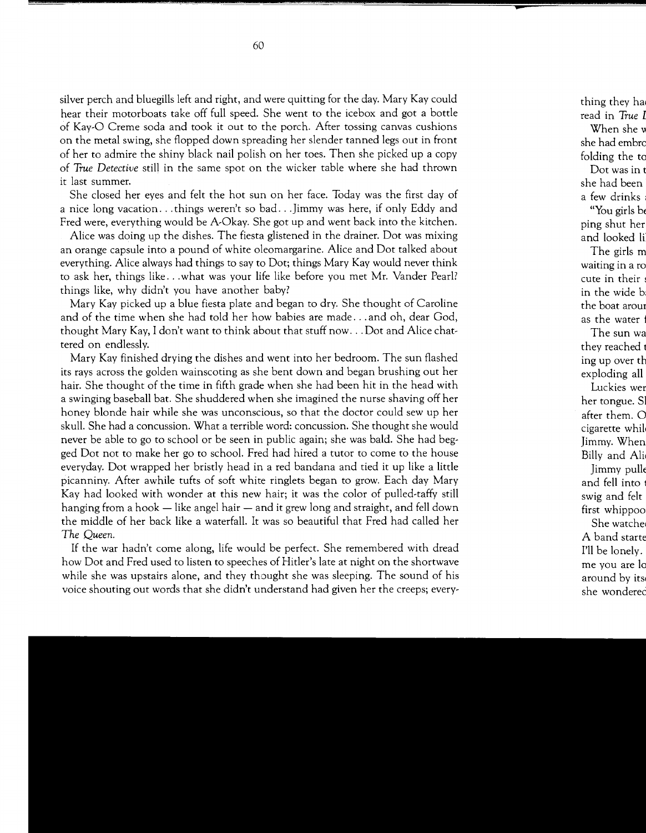silver perch and bluegills left and right, and were quitting for the day. Mary Kay could hear their motorboats take off full speed. She went to the icebox and got a bottle of Kay-O Creme soda and took it out to the porch. After tossing canvas cushions on the metal swing, she flopped down spreading her slender tanned legs out in front of her to admire the shiny black nail polish on her toes. Then she picked up a copy of *True Detective* still in the same spot on the wicker table where she had thrown it last summer.

She closed her eyes and felt the hot sun on her face. Today was the first day of a nice long vacation ... things weren't so bad ... Jimmy was here, if only Eddy and Fred were, everything would be A-Okay. She got up and went back into the kitchen.

Alice was doing up the dishes. The fiesta glistened in the drainer. Dot was mixing an orange capsule into a pound of white oleomargarine. Alice and Dot talked about everything. Alice always had things to say to Dot; things Mary Kay would never think to ask her, things like ... what was your life like before you met Mr. Vander Pearl? things like, why didn't you have another baby?

Mary Kay picked up a blue fiesta plate and began to dry. She thought of Caroline and of the time when she had told her how babies are made ... and oh, dear God, thought Mary Kay, I don't want to think about that stuff now ... Dot and Alice chattered on endlessly.

Mary Kay finished drying the dishes and went into her bedroom. The sun flashed its rays across the golden wainscoting as she bent down and began brushing out her hair. She thought of the time in fifth grade when she had been hit in the head with a swinging baseball bat. She shuddered when she imagined the nurse shaving off her honey blonde hair while she was unconscious, so that the doctor could sew up her skull. She had a concussion. What a terrible word: concussion. She thought she would never be able to go to school or be seen in public again; she was bald. She had begged Dot not to make her go to school. Fred had hired a tutor to come to the house everyday. Dot wrapped her bristly head in a red bandana and tied it up like a little picanniny. After awhile tufts of soft white ringlets began to grow. Each day Mary Kay had looked with wonder at this new hair; it was the color of pulled-taffy still hanging from a hook  $-$  like angel hair  $-$  and it grew long and straight, and fell down the middle of her back like a waterfall. It was so beautiful that Fred had called her *The Queen.* 

If the war hadn't come along, life would be perfect. She remembered with dread how Dot and Fred used to listen to speeches of Hitler's late at night on the shortwave while she was upstairs alone, and they thought she was sleeping. The sound of his voice shouting out words that she didn't understand had given her the creeps; every-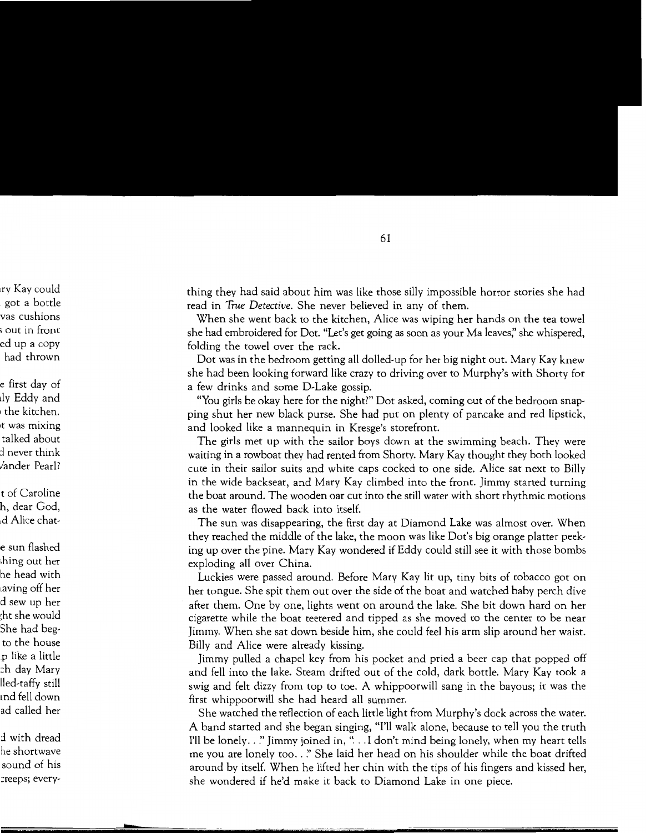thing they had said about him was like those silly impossible horror stories she had read in *True Detective.* She never believed in any of them.

When she went back to the kitchen, Alice was wiping her hands on the tea towel she had embroidered for Dot. "Let's get going as soon as your Ma leaves;' she whispered, folding the towel over the rack.

Dot was in the bedroom getting all dolled-up for her big night out. Mary Kay knew she had been looking forward like crazy to driving over to Murphy's with Shorty for a few drinks and some D-Lake gossip.

"You girls be okay here for the night?" Dot asked, coming out of the bedroom snapping shut her new black purse. She had put on plenty of pancake and red lipstick, and looked like a mannequin in Kresge's storefront.

The girls met up with the sailor boys down at the swimming beach. They were waiting in a rowboat they had rented from Shorty. Mary Kay thought they both looked cute in their sailor suits and white caps cocked to one side. Alice sat next to Billy in the wide backseat, and Mary Kay climbed into the front. Jimmy started turning the boat around. The wooden oar cut into the still water with short rhythmic motions as the water flowed back into itself.

The sun was disappearing, the first day at Diamond Lake was almost over. When they reached the middle of the lake, the moon was like Dot's big orange platter peeking up over the pine. Mary Kay wondered if Eddy could still see it with those bombs exploding all over China.

Luckies were passed around. Before Mary Kay lit up, tiny bits of tobacco got on her tongue. She spit them out over the side of the boat and watched baby perch dive after them. One by one, lights went on around the lake. She bit down hard on her cigarette while the boat teetered and tipped as she moved to the center to be near Jimmy. When she sat down beside him, she could feel his arm slip around her waist. Billy and Alice were already kissing.

Jimmy pulled a chapel key from his pocket and pried a beer cap that popped off and fell into the lake. Steam drifted out of the cold, dark bottle. Mary Kay took a swig and felt dizzy from top to toe. A whippoorwill sang in the bayous; it was the first whippoorwill she had heard all summer.

She watched the reflection of each little light from Murphy's dock across the water. A band started and she began singing, "I'll walk alone, because to tell you the truth I'll be lonely .. !'Jimmy joined in, " ... I don't mind being lonely, when my heart tells me you are lonely too .. *!'* She laid her head on his shoulder while the boat drifted around by itself. When he lifted her chin with the tips of his fingers and kissed her, she wondered if he'd make it back to Diamond Lake in one piece.